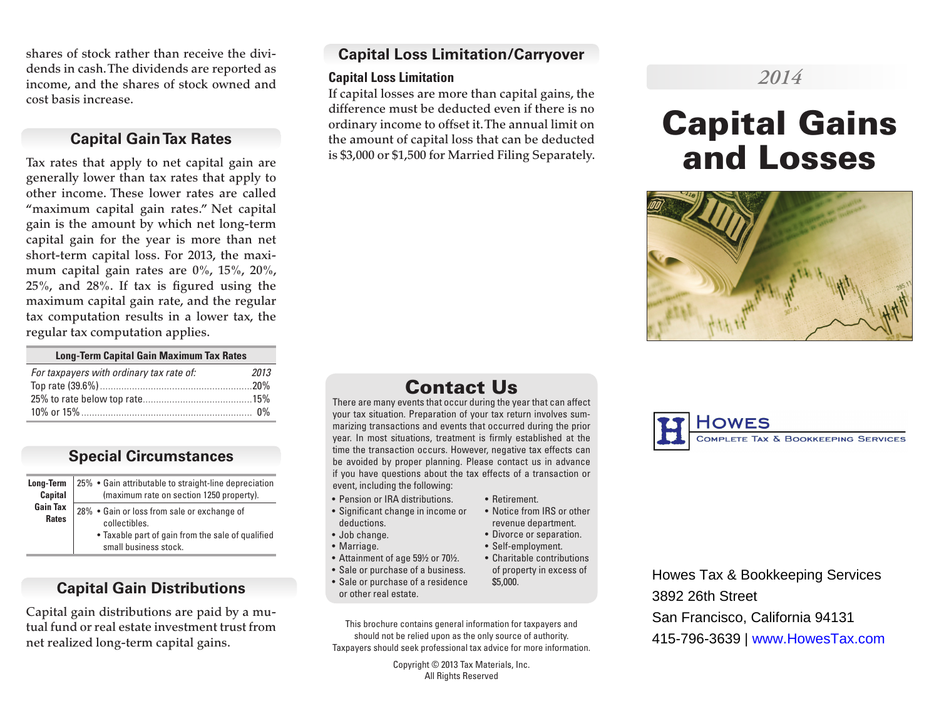shares of stock rather than receive the dividends in cash. The dividends are reported as income, and the shares of stock owned and cost basis increase.

## **Capital Gain Tax Rates**

Tax rates that apply to net capital gain are generally lower than tax rates that apply to other income. These lower rates are called "maximum capital gain rates." Net capital gain is the amount by which net long-term capital gain for the year is more than net short-term capital loss. For 2013, the maximum capital gain rates are 0%, 15%, 20%, 25%, and 28%. If tax is figured using the maximum capital gain rate, and the regular tax computation results in a lower tax, the regular tax computation applies.

| <b>Long-Term Capital Gain Maximum Tax Rates</b> |      |
|-------------------------------------------------|------|
| For taxpayers with ordinary tax rate of:        | 2013 |
|                                                 |      |
|                                                 |      |
|                                                 |      |

**Special Circumstances** 

| Long-Term                       | 25% • Gain attributable to straight-line depreciation                                                                                      |
|---------------------------------|--------------------------------------------------------------------------------------------------------------------------------------------|
| <b>Capital</b>                  | (maximum rate on section 1250 property).                                                                                                   |
| <b>Gain Tax</b><br><b>Rates</b> | 28% . Gain or loss from sale or exchange of<br>collectibles.<br>• Taxable part of gain from the sale of qualified<br>small business stock. |

## **Capital Gain Distributions**

Capital gain distributions are paid by a mutual fund or real estate investment trust from net realized long-term capital gains.

## **Capital Loss Limitation/Carryover**

#### **Capital Loss Limitation**

If capital losses are more than capital gains, the difference must be deducted even if there is no ordinary income to offset it. The annual limit on the amount of capital loss that can be deducted is \$3,000 or \$1,500 for Married Filing Separately.

# *2014*

# Capital Gains and Losses



## Contact Us

There are many events that occur during the year that can affect your tax situation. Preparation of your tax return involves summarizing transactions and events that occurred during the prior year. In most situations, treatment is firmly established at the time the transaction occurs. However, negative tax effects can be avoided by proper planning. Please contact us in advance if you have questions about the tax effects of a transaction or event, including the following:

• Retirement.

\$5,000.

• Notice from IRS or other revenue department. • Divorce or separation. • Self-employment. • Charitable contributions of property in excess of

- Pension or IRA distributions.
- Significant change in income or deductions.
- Job change.
- Marriage.
- Attainment of age 59½ or 70½.
- Sale or purchase of a business.
- Sale or purchase of a residence or other real estate.
- This brochure contains general information for taxpayers and should not be relied upon as the only source of authority. Taxpayers should seek professional tax advice for more information.

Copyright © 2013 Tax Materials, Inc. All Rights Reserved



Howes Tax & Bookkeeping Services 3892 26th Street San Francisco, California 94131 415-796-3639 | www.HowesTax.com